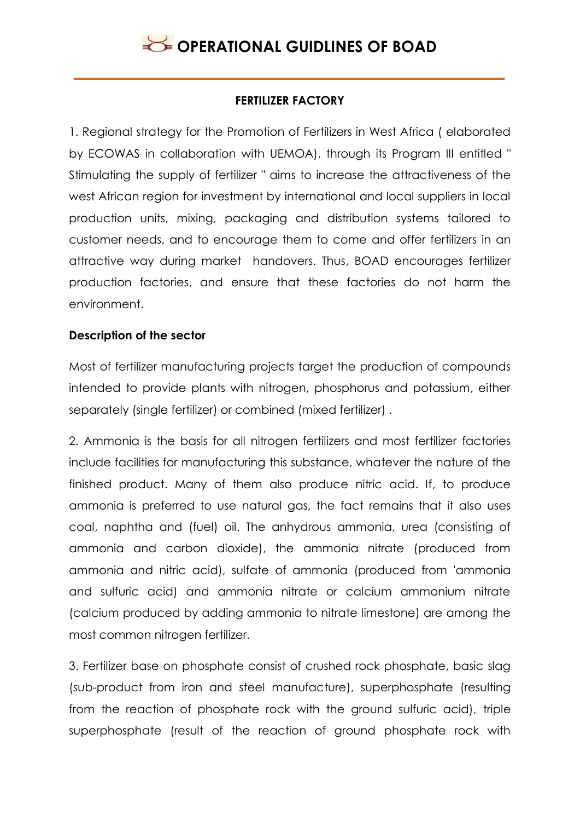### **FERTILIZER FACTORY**

1. Regional strategy for the Promotion of Fertilizers in West Africa ( elaborated by ECOWAS in collaboration with UEMOA), through its Program III entitled " Stimulating the supply of fertilizer " aims to increase the attractiveness of the west African region for investment by international and local suppliers in local production units, mixing, packaging and distribution systems tailored to customer needs, and to encourage them to come and offer fertilizers in an attractive way during market handovers. Thus, BOAD encourages fertilizer production factories, and ensure that these factories do not harm the environment.

#### **Description of the sector**

Most of fertilizer manufacturing projects target the production of compounds intended to provide plants with nitrogen, phosphorus and potassium, either separately (single fertilizer) or combined (mixed fertilizer) .

2. Ammonia is the basis for all nitrogen fertilizers and most fertilizer factories include facilities for manufacturing this substance, whatever the nature of the finished product. Many of them also produce nitric acid. If, to produce ammonia is preferred to use natural gas, the fact remains that it also uses coal, naphtha and (fuel) oil. The anhydrous ammonia, urea (consisting of ammonia and carbon dioxide), the ammonia nitrate (produced from ammonia and nitric acid), sulfate of ammonia (produced from 'ammonia and sulfuric acid) and ammonia nitrate or calcium ammonium nitrate (calcium produced by adding ammonia to nitrate limestone) are among the most common nitrogen fertilizer.

3. Fertilizer base on phosphate consist of crushed rock phosphate, basic slag (sub-product from iron and steel manufacture), superphosphate (resulting from the reaction of phosphate rock with the ground sulfuric acid), triple superphosphate (result of the reaction of ground phosphate rock with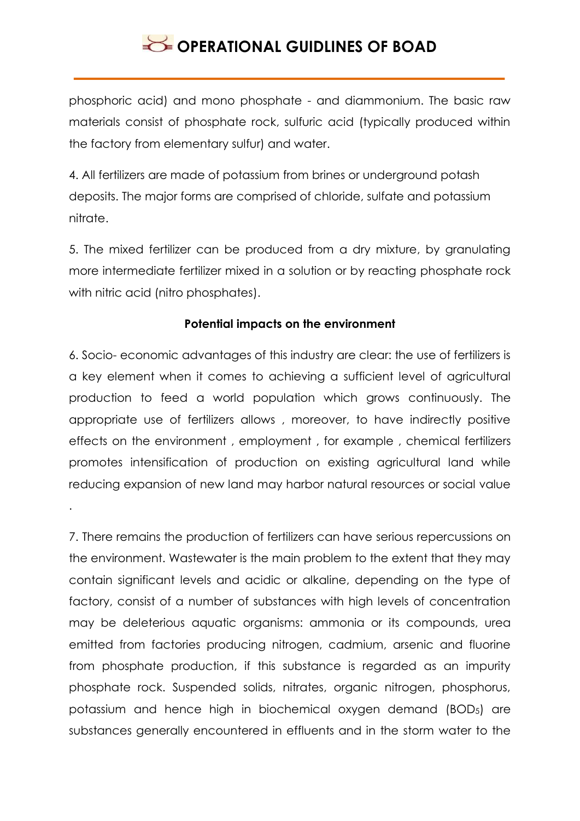phosphoric acid) and mono phosphate - and diammonium. The basic raw materials consist of phosphate rock, sulfuric acid (typically produced within the factory from elementary sulfur) and water.

4. All fertilizers are made of potassium from brines or underground potash deposits. The major forms are comprised of chloride, sulfate and potassium nitrate.

5. The mixed fertilizer can be produced from a dry mixture, by granulating more intermediate fertilizer mixed in a solution or by reacting phosphate rock with nitric acid (nitro phosphates).

### **Potential impacts on the environment**

6. Socio- economic advantages of this industry are clear: the use of fertilizers is a key element when it comes to achieving a sufficient level of agricultural production to feed a world population which grows continuously. The appropriate use of fertilizers allows , moreover, to have indirectly positive effects on the environment , employment , for example , chemical fertilizers promotes intensification of production on existing agricultural land while reducing expansion of new land may harbor natural resources or social value

.

7. There remains the production of fertilizers can have serious repercussions on the environment. Wastewater is the main problem to the extent that they may contain significant levels and acidic or alkaline, depending on the type of factory, consist of a number of substances with high levels of concentration may be deleterious aquatic organisms: ammonia or its compounds, urea emitted from factories producing nitrogen, cadmium, arsenic and fluorine from phosphate production, if this substance is regarded as an impurity phosphate rock. Suspended solids, nitrates, organic nitrogen, phosphorus, potassium and hence high in biochemical oxygen demand (BOD5) are substances generally encountered in effluents and in the storm water to the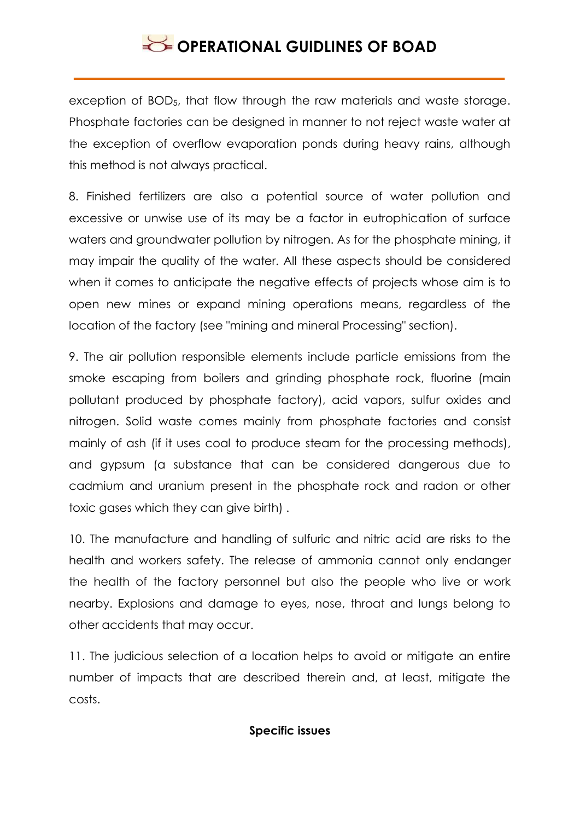exception of BOD5, that flow through the raw materials and waste storage. Phosphate factories can be designed in manner to not reject waste water at the exception of overflow evaporation ponds during heavy rains, although this method is not always practical.

8. Finished fertilizers are also a potential source of water pollution and excessive or unwise use of its may be a factor in eutrophication of surface waters and groundwater pollution by nitrogen. As for the phosphate mining, it may impair the quality of the water. All these aspects should be considered when it comes to anticipate the negative effects of projects whose aim is to open new mines or expand mining operations means, regardless of the location of the factory (see "mining and mineral Processing" section).

9. The air pollution responsible elements include particle emissions from the smoke escaping from boilers and grinding phosphate rock, fluorine (main pollutant produced by phosphate factory), acid vapors, sulfur oxides and nitrogen. Solid waste comes mainly from phosphate factories and consist mainly of ash (if it uses coal to produce steam for the processing methods), and gypsum (a substance that can be considered dangerous due to cadmium and uranium present in the phosphate rock and radon or other toxic gases which they can give birth) .

10. The manufacture and handling of sulfuric and nitric acid are risks to the health and workers safety. The release of ammonia cannot only endanger the health of the factory personnel but also the people who live or work nearby. Explosions and damage to eyes, nose, throat and lungs belong to other accidents that may occur.

11. The judicious selection of a location helps to avoid or mitigate an entire number of impacts that are described therein and, at least, mitigate the costs.

#### **Specific issues**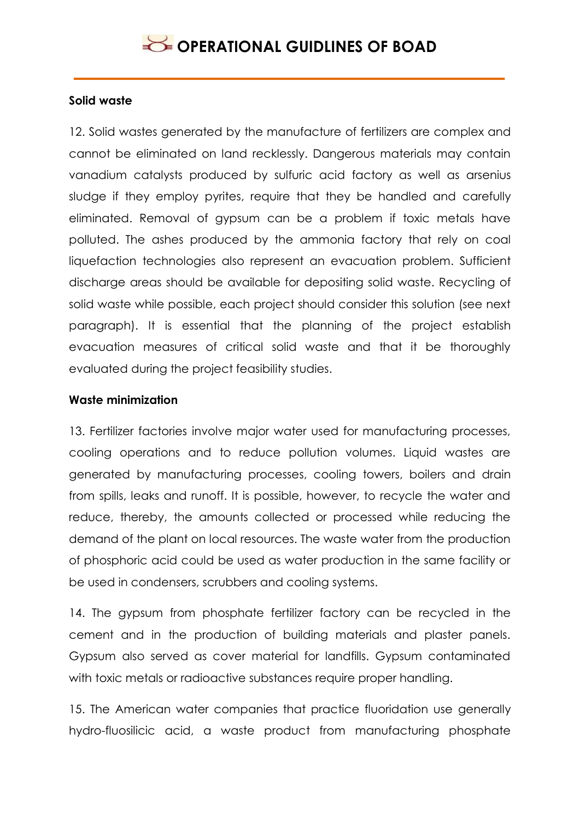### **Solid waste**

12. Solid wastes generated by the manufacture of fertilizers are complex and cannot be eliminated on land recklessly. Dangerous materials may contain vanadium catalysts produced by sulfuric acid factory as well as arsenius sludge if they employ pyrites, require that they be handled and carefully eliminated. Removal of gypsum can be a problem if toxic metals have polluted. The ashes produced by the ammonia factory that rely on coal liquefaction technologies also represent an evacuation problem. Sufficient discharge areas should be available for depositing solid waste. Recycling of solid waste while possible, each project should consider this solution (see next paragraph). It is essential that the planning of the project establish evacuation measures of critical solid waste and that it be thoroughly evaluated during the project feasibility studies.

#### **Waste minimization**

13. Fertilizer factories involve major water used for manufacturing processes, cooling operations and to reduce pollution volumes. Liquid wastes are generated by manufacturing processes, cooling towers, boilers and drain from spills, leaks and runoff. It is possible, however, to recycle the water and reduce, thereby, the amounts collected or processed while reducing the demand of the plant on local resources. The waste water from the production of phosphoric acid could be used as water production in the same facility or be used in condensers, scrubbers and cooling systems.

14. The gypsum from phosphate fertilizer factory can be recycled in the cement and in the production of building materials and plaster panels. Gypsum also served as cover material for landfills. Gypsum contaminated with toxic metals or radioactive substances require proper handling.

15. The American water companies that practice fluoridation use generally hydro-fluosilicic acid, a waste product from manufacturing phosphate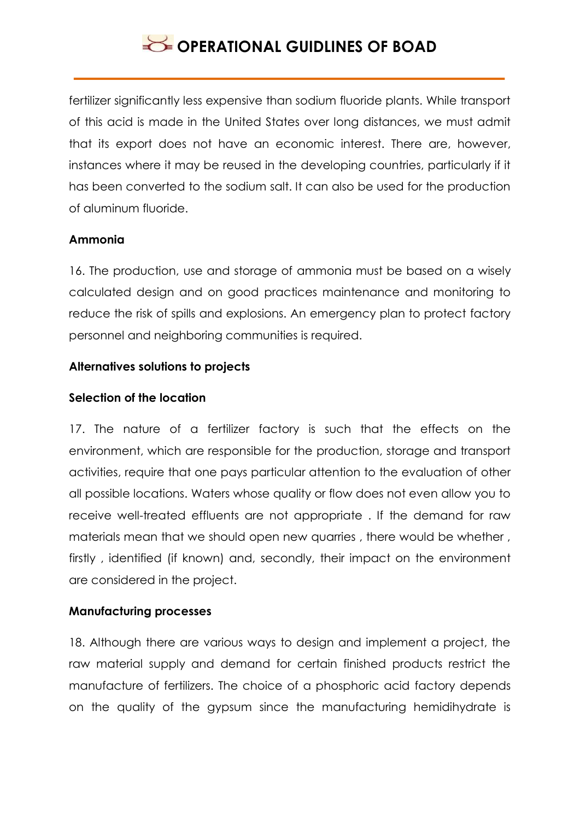fertilizer significantly less expensive than sodium fluoride plants. While transport of this acid is made in the United States over long distances, we must admit that its export does not have an economic interest. There are, however, instances where it may be reused in the developing countries, particularly if it has been converted to the sodium salt. It can also be used for the production of aluminum fluoride.

### **Ammonia**

16. The production, use and storage of ammonia must be based on a wisely calculated design and on good practices maintenance and monitoring to reduce the risk of spills and explosions. An emergency plan to protect factory personnel and neighboring communities is required.

#### **Alternatives solutions to projects**

#### **Selection of the location**

17. The nature of a fertilizer factory is such that the effects on the environment, which are responsible for the production, storage and transport activities, require that one pays particular attention to the evaluation of other all possible locations. Waters whose quality or flow does not even allow you to receive well-treated effluents are not appropriate . If the demand for raw materials mean that we should open new quarries , there would be whether , firstly , identified (if known) and, secondly, their impact on the environment are considered in the project.

### **Manufacturing processes**

18. Although there are various ways to design and implement a project, the raw material supply and demand for certain finished products restrict the manufacture of fertilizers. The choice of a phosphoric acid factory depends on the quality of the gypsum since the manufacturing hemidihydrate is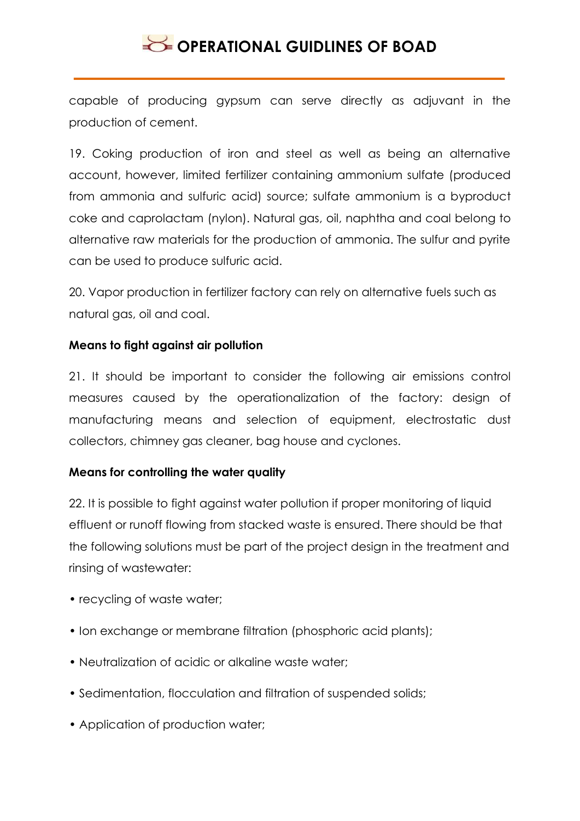capable of producing gypsum can serve directly as adjuvant in the production of cement.

19. Coking production of iron and steel as well as being an alternative account, however, limited fertilizer containing ammonium sulfate (produced from ammonia and sulfuric acid) source; sulfate ammonium is a byproduct coke and caprolactam (nylon). Natural gas, oil, naphtha and coal belong to alternative raw materials for the production of ammonia. The sulfur and pyrite can be used to produce sulfuric acid.

20. Vapor production in fertilizer factory can rely on alternative fuels such as natural gas, oil and coal.

### **Means to fight against air pollution**

21. It should be important to consider the following air emissions control measures caused by the operationalization of the factory: design of manufacturing means and selection of equipment, electrostatic dust collectors, chimney gas cleaner, bag house and cyclones.

### **Means for controlling the water quality**

22. It is possible to fight against water pollution if proper monitoring of liquid effluent or runoff flowing from stacked waste is ensured. There should be that the following solutions must be part of the project design in the treatment and rinsing of wastewater:

- recycling of waste water;
- Ion exchange or membrane filtration (phosphoric acid plants);
- Neutralization of acidic or alkaline waste water;
- Sedimentation, flocculation and filtration of suspended solids;
- Application of production water;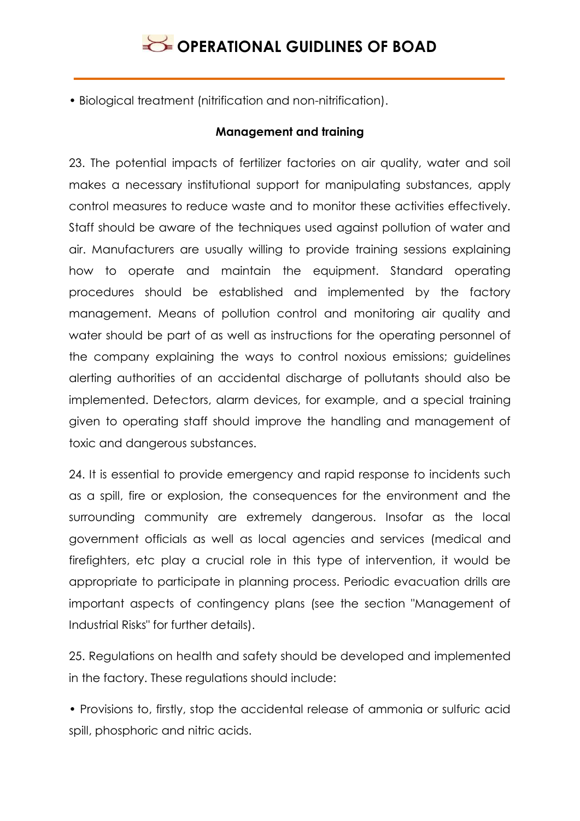• Biological treatment (nitrification and non-nitrification).

### **Management and training**

23. The potential impacts of fertilizer factories on air quality, water and soil makes a necessary institutional support for manipulating substances, apply control measures to reduce waste and to monitor these activities effectively. Staff should be aware of the techniques used against pollution of water and air. Manufacturers are usually willing to provide training sessions explaining how to operate and maintain the equipment. Standard operating procedures should be established and implemented by the factory management. Means of pollution control and monitoring air quality and water should be part of as well as instructions for the operating personnel of the company explaining the ways to control noxious emissions; guidelines alerting authorities of an accidental discharge of pollutants should also be implemented. Detectors, alarm devices, for example, and a special training given to operating staff should improve the handling and management of toxic and dangerous substances.

24. It is essential to provide emergency and rapid response to incidents such as a spill, fire or explosion, the consequences for the environment and the surrounding community are extremely dangerous. Insofar as the local government officials as well as local agencies and services (medical and firefighters, etc play a crucial role in this type of intervention, it would be appropriate to participate in planning process. Periodic evacuation drills are important aspects of contingency plans (see the section "Management of Industrial Risks" for further details).

25. Regulations on health and safety should be developed and implemented in the factory. These regulations should include:

• Provisions to, firstly, stop the accidental release of ammonia or sulfuric acid spill, phosphoric and nitric acids.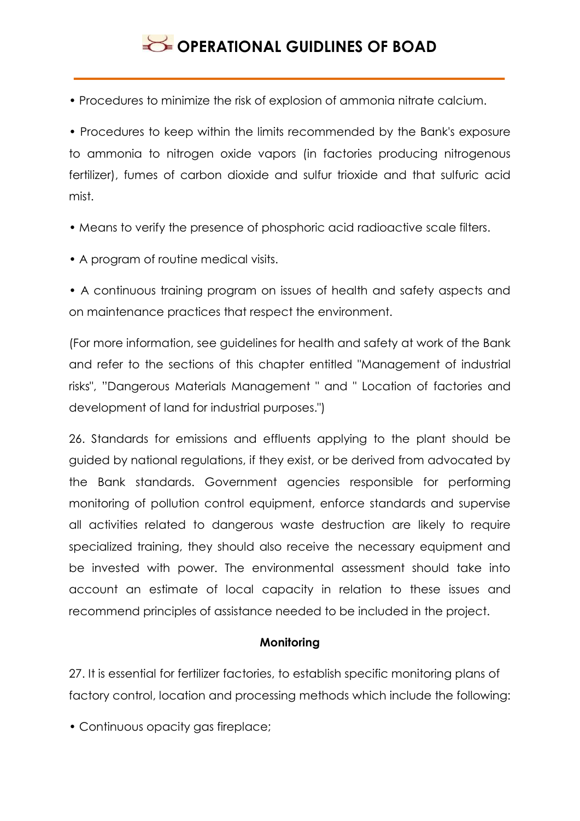• Procedures to minimize the risk of explosion of ammonia nitrate calcium.

• Procedures to keep within the limits recommended by the Bank's exposure to ammonia to nitrogen oxide vapors (in factories producing nitrogenous fertilizer), fumes of carbon dioxide and sulfur trioxide and that sulfuric acid mist.

- Means to verify the presence of phosphoric acid radioactive scale filters.
- A program of routine medical visits.
- A continuous training program on issues of health and safety aspects and on maintenance practices that respect the environment.

(For more information, see guidelines for health and safety at work of the Bank and refer to the sections of this chapter entitled "Management of industrial risks", "Dangerous Materials Management " and " Location of factories and development of land for industrial purposes.")

26. Standards for emissions and effluents applying to the plant should be guided by national regulations, if they exist, or be derived from advocated by the Bank standards. Government agencies responsible for performing monitoring of pollution control equipment, enforce standards and supervise all activities related to dangerous waste destruction are likely to require specialized training, they should also receive the necessary equipment and be invested with power. The environmental assessment should take into account an estimate of local capacity in relation to these issues and recommend principles of assistance needed to be included in the project.

#### **Monitoring**

27. It is essential for fertilizer factories, to establish specific monitoring plans of factory control, location and processing methods which include the following:

• Continuous opacity gas fireplace;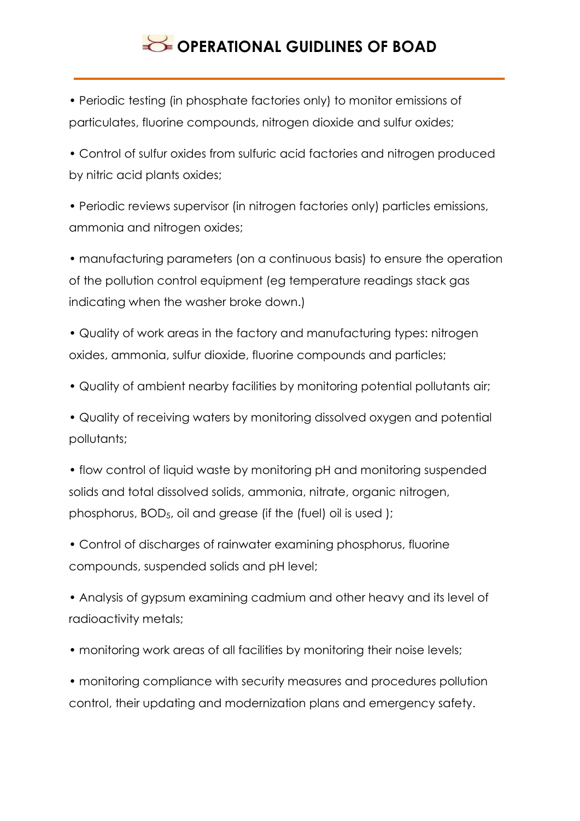• Periodic testing (in phosphate factories only) to monitor emissions of particulates, fluorine compounds, nitrogen dioxide and sulfur oxides;

• Control of sulfur oxides from sulfuric acid factories and nitrogen produced by nitric acid plants oxides;

• Periodic reviews supervisor (in nitrogen factories only) particles emissions, ammonia and nitrogen oxides;

• manufacturing parameters (on a continuous basis) to ensure the operation of the pollution control equipment (eg temperature readings stack gas indicating when the washer broke down.)

• Quality of work areas in the factory and manufacturing types: nitrogen oxides, ammonia, sulfur dioxide, fluorine compounds and particles;

• Quality of ambient nearby facilities by monitoring potential pollutants air;

• Quality of receiving waters by monitoring dissolved oxygen and potential pollutants;

• flow control of liquid waste by monitoring pH and monitoring suspended solids and total dissolved solids, ammonia, nitrate, organic nitrogen, phosphorus, BOD5, oil and grease (if the (fuel) oil is used );

• Control of discharges of rainwater examining phosphorus, fluorine compounds, suspended solids and pH level;

• Analysis of gypsum examining cadmium and other heavy and its level of radioactivity metals;

• monitoring work areas of all facilities by monitoring their noise levels;

• monitoring compliance with security measures and procedures pollution control, their updating and modernization plans and emergency safety.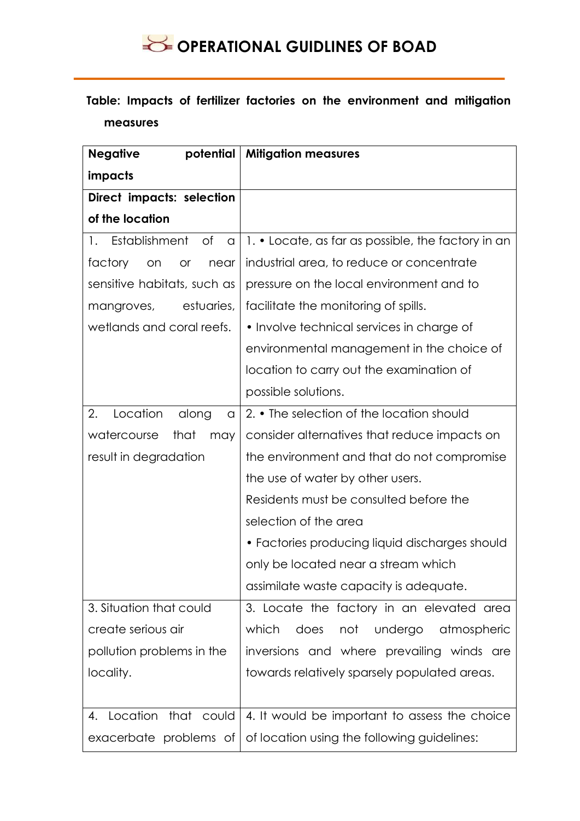### **Table: Impacts of fertilizer factories on the environment and mitigation measures**

| <b>Negative</b><br>potential       | <b>Mitigation measures</b>                         |  |  |  |  |  |
|------------------------------------|----------------------------------------------------|--|--|--|--|--|
| impacts                            |                                                    |  |  |  |  |  |
| Direct impacts: selection          |                                                    |  |  |  |  |  |
| of the location                    |                                                    |  |  |  |  |  |
| Establishment<br>0f<br>1.<br>a     | 1. • Locate, as far as possible, the factory in an |  |  |  |  |  |
| factory<br>on<br><b>or</b><br>near | industrial area, to reduce or concentrate          |  |  |  |  |  |
| sensitive habitats, such as        | pressure on the local environment and to           |  |  |  |  |  |
| estuaries,<br>mangroves,           | facilitate the monitoring of spills.               |  |  |  |  |  |
| wetlands and coral reefs.          | • Involve technical services in charge of          |  |  |  |  |  |
|                                    | environmental management in the choice of          |  |  |  |  |  |
|                                    | location to carry out the examination of           |  |  |  |  |  |
|                                    | possible solutions.                                |  |  |  |  |  |
| Location<br>2.<br>along<br>a       | 2. • The selection of the location should          |  |  |  |  |  |
| watercourse<br>that<br>may         | consider alternatives that reduce impacts on       |  |  |  |  |  |
| result in degradation              | the environment and that do not compromise         |  |  |  |  |  |
|                                    | the use of water by other users.                   |  |  |  |  |  |
|                                    | Residents must be consulted before the             |  |  |  |  |  |
|                                    | selection of the area                              |  |  |  |  |  |
|                                    | • Factories producing liquid discharges should     |  |  |  |  |  |
|                                    | only be located near a stream which                |  |  |  |  |  |
|                                    | assimilate waste capacity is adequate.             |  |  |  |  |  |
| 3. Situation that could            | 3. Locate the factory in an elevated area          |  |  |  |  |  |
| create serious air                 | not undergo atmospheric<br>which<br>does           |  |  |  |  |  |
| pollution problems in the          | inversions and where prevailing winds are          |  |  |  |  |  |
| locality.                          | towards relatively sparsely populated areas.       |  |  |  |  |  |
|                                    |                                                    |  |  |  |  |  |
| 4. Location that could             | 4. It would be important to assess the choice      |  |  |  |  |  |
| exacerbate problems of             | of location using the following guidelines:        |  |  |  |  |  |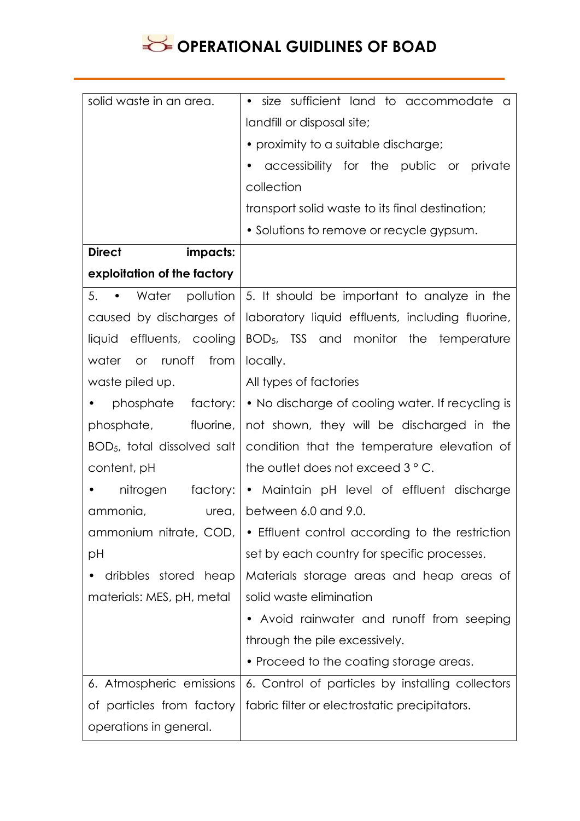| solid waste in an area.       | size sufficient land to accommodate<br>٠<br>- a                 |  |  |  |  |  |
|-------------------------------|-----------------------------------------------------------------|--|--|--|--|--|
|                               | landfill or disposal site;                                      |  |  |  |  |  |
|                               | • proximity to a suitable discharge;                            |  |  |  |  |  |
|                               | accessibility for the public or private                         |  |  |  |  |  |
|                               | collection                                                      |  |  |  |  |  |
|                               | transport solid waste to its final destination;                 |  |  |  |  |  |
|                               | • Solutions to remove or recycle gypsum.                        |  |  |  |  |  |
| <b>Direct</b><br>impacts:     |                                                                 |  |  |  |  |  |
| exploitation of the factory   |                                                                 |  |  |  |  |  |
| 5.                            | • Water pollution   5. It should be important to analyze in the |  |  |  |  |  |
| caused by discharges of       | laboratory liquid effluents, including fluorine,                |  |  |  |  |  |
| liquid effluents, cooling     | $BOD5$ , TSS and monitor the temperature                        |  |  |  |  |  |
| water or runoff<br>from       | locally.                                                        |  |  |  |  |  |
| waste piled up.               | All types of factories                                          |  |  |  |  |  |
| phosphate factory:            | • No discharge of cooling water. If recycling is                |  |  |  |  |  |
| phosphate, fluorine,          | not shown, they will be discharged in the                       |  |  |  |  |  |
| $BOD5$ , total dissolved salt | condition that the temperature elevation of                     |  |  |  |  |  |
| content, pH                   | the outlet does not exceed 3 ° C.                               |  |  |  |  |  |
| nitrogen<br>factory:          | • Maintain pH level of effluent discharge                       |  |  |  |  |  |
| ammonia,<br>urea,             | between 6.0 and 9.0.                                            |  |  |  |  |  |
| ammonium nitrate, COD,        | • Effluent control according to the restriction                 |  |  |  |  |  |
| рH                            | set by each country for specific processes.                     |  |  |  |  |  |
| dribbles stored heap          | Materials storage areas and heap areas of                       |  |  |  |  |  |
| materials: MES, pH, metal     | solid waste elimination                                         |  |  |  |  |  |
|                               | Avoid rainwater and runoff from seeping                         |  |  |  |  |  |
|                               | through the pile excessively.                                   |  |  |  |  |  |
|                               | • Proceed to the coating storage areas.                         |  |  |  |  |  |
| 6. Atmospheric emissions      | 6. Control of particles by installing collectors                |  |  |  |  |  |
| of particles from factory     | fabric filter or electrostatic precipitators.                   |  |  |  |  |  |
| operations in general.        |                                                                 |  |  |  |  |  |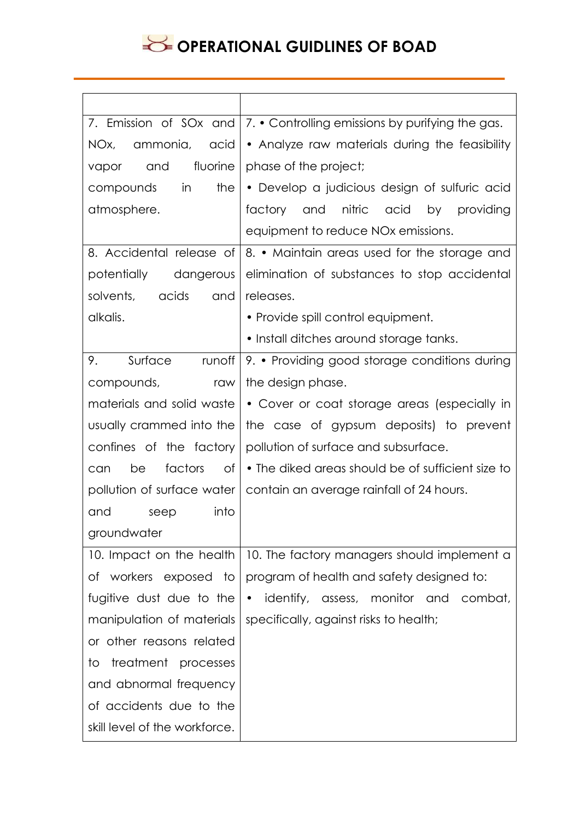| 7. Emission of SOx and        | 7. • Controlling emissions by purifying the gas.                      |  |  |  |  |  |  |
|-------------------------------|-----------------------------------------------------------------------|--|--|--|--|--|--|
| NOx, ammonia, acid            | • Analyze raw materials during the feasibility                        |  |  |  |  |  |  |
| fluorine<br>and<br>vapor      | phase of the project;                                                 |  |  |  |  |  |  |
| in<br>the<br>compounds        | • Develop a judicious design of sulfuric acid                         |  |  |  |  |  |  |
| atmosphere.                   | factory and nitric acid by providing                                  |  |  |  |  |  |  |
|                               | equipment to reduce NO <sub>x</sub> emissions.                        |  |  |  |  |  |  |
| 8. Accidental release of      | 8. • Maintain areas used for the storage and                          |  |  |  |  |  |  |
| potentially dangerous         | elimination of substances to stop accidental                          |  |  |  |  |  |  |
| solvents, acids<br>and        | releases.                                                             |  |  |  |  |  |  |
| alkalis.                      | • Provide spill control equipment.                                    |  |  |  |  |  |  |
|                               | · Install ditches around storage tanks.                               |  |  |  |  |  |  |
| Surface runoff<br>9.          | 9. • Providing good storage conditions during                         |  |  |  |  |  |  |
| compounds, raw                | the design phase.                                                     |  |  |  |  |  |  |
| materials and solid waste     | • Cover or coat storage areas (especially in                          |  |  |  |  |  |  |
| usually crammed into the      | the case of gypsum deposits) to prevent                               |  |  |  |  |  |  |
| confines of the factory       | pollution of surface and subsurface.                                  |  |  |  |  |  |  |
| factors<br>of<br>be<br>can    | • The diked areas should be of sufficient size to                     |  |  |  |  |  |  |
|                               | pollution of surface water   contain an average rainfall of 24 hours. |  |  |  |  |  |  |
| into<br>and<br>seep           |                                                                       |  |  |  |  |  |  |
| groundwater                   |                                                                       |  |  |  |  |  |  |
| 10. Impact on the health      | 10. The factory managers should implement a                           |  |  |  |  |  |  |
| of workers exposed to         | program of health and safety designed to:                             |  |  |  |  |  |  |
| fugitive dust due to the      | • identify, assess, monitor and combat,                               |  |  |  |  |  |  |
| manipulation of materials     | specifically, against risks to health;                                |  |  |  |  |  |  |
| or other reasons related      |                                                                       |  |  |  |  |  |  |
| treatment processes<br>to     |                                                                       |  |  |  |  |  |  |
| and abnormal frequency        |                                                                       |  |  |  |  |  |  |
| of accidents due to the       |                                                                       |  |  |  |  |  |  |
| skill level of the workforce. |                                                                       |  |  |  |  |  |  |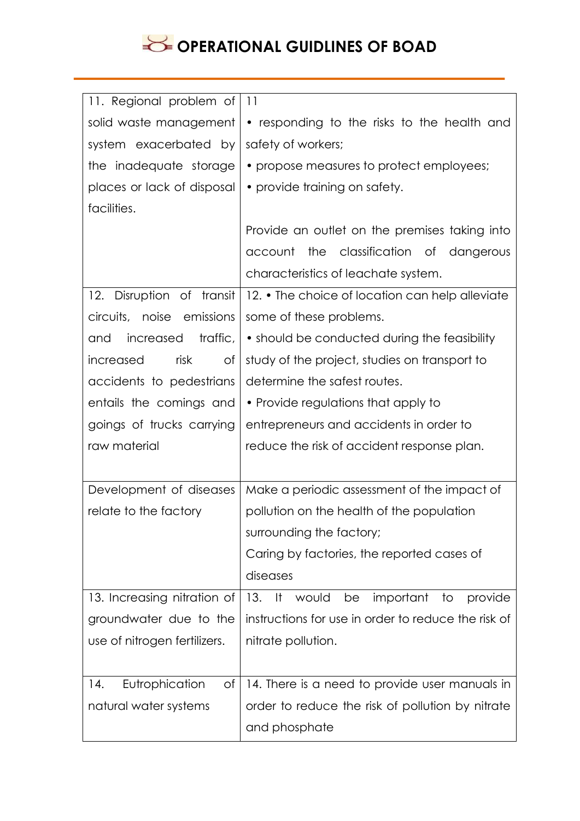| 11. Regional problem of        | 11                                                    |  |  |  |  |  |
|--------------------------------|-------------------------------------------------------|--|--|--|--|--|
| solid waste management         | • responding to the risks to the health and           |  |  |  |  |  |
| system exacerbated by          | safety of workers;                                    |  |  |  |  |  |
| the inadequate storage         | • propose measures to protect employees;              |  |  |  |  |  |
| places or lack of disposal     | • provide training on safety.                         |  |  |  |  |  |
| facilities.                    |                                                       |  |  |  |  |  |
|                                | Provide an outlet on the premises taking into         |  |  |  |  |  |
|                                | the classification of dangerous<br>account            |  |  |  |  |  |
|                                | characteristics of leachate system.                   |  |  |  |  |  |
| 12. Disruption of transit      | 12. • The choice of location can help alleviate       |  |  |  |  |  |
| circuits, noise emissions      | some of these problems.                               |  |  |  |  |  |
| traffic,<br>increased<br>and   | • should be conducted during the feasibility          |  |  |  |  |  |
| risk<br>increased<br>$\circ$ f | study of the project, studies on transport to         |  |  |  |  |  |
| accidents to pedestrians       | determine the safest routes.                          |  |  |  |  |  |
| entails the comings and        | • Provide regulations that apply to                   |  |  |  |  |  |
| goings of trucks carrying      | entrepreneurs and accidents in order to               |  |  |  |  |  |
|                                |                                                       |  |  |  |  |  |
| raw material                   | reduce the risk of accident response plan.            |  |  |  |  |  |
|                                |                                                       |  |  |  |  |  |
| Development of diseases        | Make a periodic assessment of the impact of           |  |  |  |  |  |
| relate to the factory          | pollution on the health of the population             |  |  |  |  |  |
|                                | surrounding the factory;                              |  |  |  |  |  |
|                                | Caring by factories, the reported cases of            |  |  |  |  |  |
|                                | diseases                                              |  |  |  |  |  |
| 13. Increasing nitration of    | $13.$ If<br>important<br>would<br>be<br>to<br>provide |  |  |  |  |  |
| groundwater due to the         | instructions for use in order to reduce the risk of   |  |  |  |  |  |
| use of nitrogen fertilizers.   | nitrate pollution.                                    |  |  |  |  |  |
|                                |                                                       |  |  |  |  |  |
| Eutrophication<br>14.<br>Οf    | 14. There is a need to provide user manuals in        |  |  |  |  |  |
| natural water systems          | order to reduce the risk of pollution by nitrate      |  |  |  |  |  |